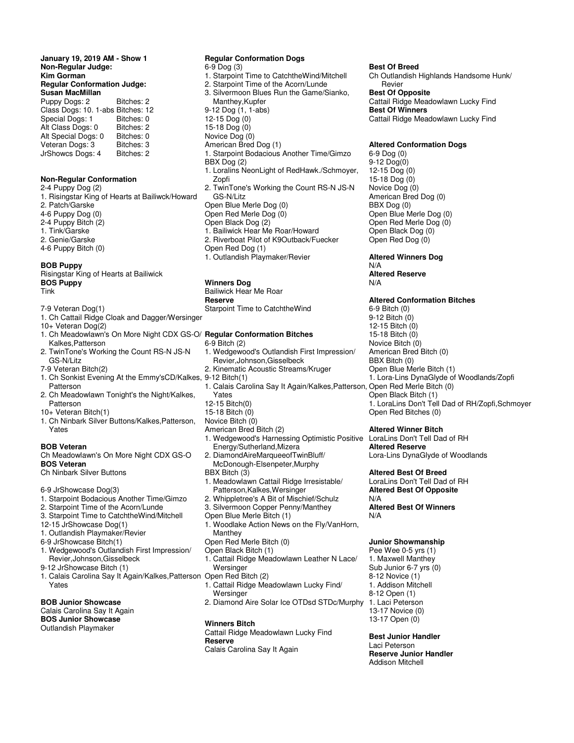**January 19, 2019 AM - Show 1 Non-Regular Judge: Kim Gorman Regular Conformation Judge: Susan MacMillan** 

| Puppy Dogs: 2                     | Bitches: 2 |
|-----------------------------------|------------|
| Class Dogs: 10. 1-abs Bitches: 12 |            |
| Special Dogs: 1                   | Bitches: 0 |
| Alt Class Dogs: 0                 | Bitches: 2 |
| Alt Special Dogs: 0               | Bitches: 0 |
| Veteran Dogs: 3                   | Bitches: 3 |
| JrShowcs Dogs: 4                  | Bitches: 2 |
|                                   |            |

#### **Non-Regular Conformation**

2-4 Puppy Dog (2) 1. Risingstar King of Hearts at Bailiwck/Howard 2. Patch/Garske 4-6 Puppy Dog (0) 2-4 Puppy Bitch (2) 1. Tink/Garske 2. Genie/Garske 4-6 Puppy Bitch (0)

#### **BOB Puppy**

Risingstar King of Hearts at Bailiwick **BOS Puppy** Tink

- 7-9 Veteran Dog(1)
- 1. Ch Cattail Ridge Cloak and Dagger/Wersinger
- 10+ Veteran Dog(2)
- Kalkes,Patterson 2. TwinTone's Working the Count RS-N JS-N
- GS-N/Litz 7-9 Veteran Bitch(2)
- 1. Ch Sonkist Evening At the Emmy'sCD/Kalkes, 9-12 Bitch(1) Patterson
- 2. Ch Meadowlawn Tonight's the Night/Kalkes, Patterson
- 10+ Veteran Bitch(1)
- 1. Ch Ninbark Silver Buttons/Kalkes,Patterson, Yates

#### **BOB Veteran**

- Ch Meadowlawn's On More Night CDX GS-O **BOS Veteran**
- Ch Ninbark Silver Buttons
- 6-9 JrShowcase Dog(3)
- 1. Starpoint Bodacious Another Time/Gimzo
- 2. Starpoint Time of the Acorn/Lunde
- 3. Starpoint Time to CatchtheWind/Mitchell
- 12-15 JrShowcase Dog(1)
- 1. Outlandish Playmaker/Revier
- 6-9 JrShowcase Bitch(1)
- 1. Wedgewood's Outlandish First Impression/ Revier,Johnson,Gisselbeck
- 9-12 JrShowcase Bitch (1)
- 1. Calais Carolina Say It Again/Kalkes,Patterson Open Red Bitch (2) Yates

# **BOB Junior Showcase**

Calais Carolina Say It Again **BOS Junior Showcase** Outlandish Playmaker

#### **Regular Conformation Dogs**

- 6-9 Dog (3)
- 1. Starpoint Time to CatchtheWind/Mitchell 2. Starpoint Time of the Acorn/Lunde
- 3. Silvermoon Blues Run the Game/Sianko,
- Manthey,Kupfer
- 9-12 Dog (1, 1-abs) 12-15 Dog (0)
- 15-18 Dog (0)
- Novice Dog (0)
- American Bred Dog (1)
- 
- 1. Starpoint Bodacious Another Time/Gimzo BBX Dog (2) 1. Loralins NeonLight of RedHawk./Schmoyer,
- Zopfi 2. TwinTone's Working the Count RS-N JS-N GS-N/Litz
- Open Blue Merle Dog (0)
- Open Red Merle Dog (0)
- Open Black Dog (2)
- 1. Bailiwick Hear Me Roar/Howard
- 2. Riverboat Pilot of K9Outback/Fuecker Open Red Dog (1)
- 1. Outlandish Playmaker/Revier

# **Winners Dog**

Bailiwick Hear Me Roar **Reserve**  Starpoint Time to CatchtheWind

#### 1. Ch Meadowlawn's On More Night CDX GS-O/ **Regular Conformation Bitches**

- 6-9 Bitch (2)
- 1. Wedgewood's Outlandish First Impression/ Revier,Johnson,Gisselbeck
- 2. Kinematic Acoustic Streams/Kruger
- 
- 1. Calais Carolina Say It Again/Kalkes,Patterson, Open Red Merle Bitch (0)
- Yates
- 12-15 Bitch(0)
- 15-18 Bitch (0)
- Novice Bitch (0)
- American Bred Bitch (2)
- 1. Wedgewood's Harnessing Optimistic Positive Energy/Sutherland,Mizera
- 2. DiamondAireMarqueeofTwinBluff/ McDonough-Elsenpeter,Murphy
- BBX Bitch (3)
- 1. Meadowlawn Cattail Ridge Irresistable/ Patterson,Kalkes,Wersinger
- 2. Whippletree's A Bit of Mischief/Schulz
- 3. Silvermoon Copper Penny/Manthey
- Open Blue Merle Bitch (1)
- 1. Woodlake Action News on the Fly/VanHorn, Manthey
- Open Red Merle Bitch (0)
- Open Black Bitch (1)
- 1. Cattail Ridge Meadowlawn Leather N Lace/ Wersinger
- 
- 1. Cattail Ridge Meadowlawn Lucky Find/ Wersinger
- 2. Diamond Aire Solar Ice OTDsd STDc/Murphy

#### **Winners Bitch**

Cattail Ridge Meadowlawn Lucky Find **Reserve** Calais Carolina Say It Again

#### **Best Of Breed**

Ch Outlandish Highlands Handsome Hunk/ Revier **Best Of Opposite** Cattail Ridge Meadowlawn Lucky Find **Best Of Winners** Cattail Ridge Meadowlawn Lucky Find

# **Altered Conformation Dogs**

6-9 Dog (0) 9-12 Dog(0) 12-15 Dog (0) 15-18 Dog (0) Novice Dog (0) American Bred Dog (0) BBX Dog (0) Open Blue Merle Dog (0) Open Red Merle Dog (0) Open Black Dog (0) Open Red Dog (0)

# **Altered Winners Dog** N/A **Altered Reserve**

N/A

# **Altered Conformation Bitches**

6-9 Bitch (0) 9-12 Bitch (0) 12-15 Bitch (0) 15-18 Bitch (0) Novice Bitch (0) American Bred Bitch (0) BBX Bitch (0) Open Blue Merle Bitch (1) 1. Lora-Lins DynaGlyde of Woodlands/Zopfi Open Black Bitch (1) 1. LoraLins Don't Tell Dad of RH/Zopfi,Schmoyer Open Red Bitches (0)

#### **Altered Winner Bitch**

LoraLins Don't Tell Dad of RH **Altered Reserve** Lora-Lins DynaGlyde of Woodlands

#### **Altered Best Of Breed**

LoraLins Don't Tell Dad of RH **Altered Best Of Opposite** N/A

# **Altered Best Of Winners** N/A

#### **Junior Showmanship**

Pee Wee 0-5 yrs (1) 1. Maxwell Manthey Sub Junior 6-7 yrs (0) 8-12 Novice (1) 1. Addison Mitchell 8-12 Open (1) 1. Laci Peterson 13-17 Novice (0) 13-17 Open (0)

**Best Junior Handler** Laci Peterson **Reserve Junior Handler** Addison Mitchell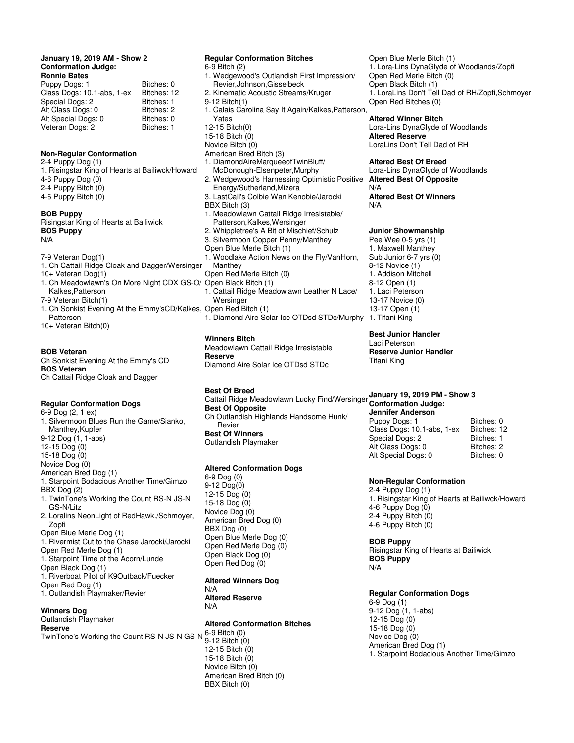#### **January 19, 2019 AM - Show 2 Conformation Judge: Ronnie Bates**

| Puppy Dogs: 1              | Bitches: 0  |
|----------------------------|-------------|
| Class Dogs: 10.1-abs, 1-ex | Bitches: 12 |
| Special Dogs: 2            | Bitches: 1  |
| Alt Class Dogs: 0          | Bitches: 2  |
| Alt Special Dogs: 0        | Bitches: 0  |
| Veteran Dogs: 2            | Bitches: 1  |
|                            |             |

## **Non-Regular Conformation**

2-4 Puppy Dog (1) 1. Risingstar King of Hearts at Bailiwck/Howard 4-6 Puppy Dog (0) 2-4 Puppy Bitch (0) 4-6 Puppy Bitch (0)

# **BOB Puppy**

Risingstar King of Hearts at Bailiwick **BOS Puppy** N/A

7-9 Veteran Dog(1)

- 1. Ch Cattail Ridge Cloak and Dagger/Wersinger
- 10+ Veteran Dog(1)
- 1. Ch Meadowlawn's On More Night CDX GS-O/ Open Black Bitch (1) Kalkes,Patterson
- 7-9 Veteran Bitch(1)
- 1. Ch Sonkist Evening At the Emmy'sCD/Kalkes, Open Red Bitch (1) Patterson 10+ Veteran Bitch(0)

#### **BOB Veteran**

Ch Sonkist Evening At the Emmy's CD **BOS Veteran** Ch Cattail Ridge Cloak and Dagger

## **Regular Conformation Dogs**

6-9 Dog (2, 1 ex)

- 1. Silvermoon Blues Run the Game/Sianko, Manthey,Kupfer 9-12 Dog (1, 1-abs) 12-15 Dog (0) 15-18 Dog (0) Novice Dog (0) American Bred Dog (1) 1. Starpoint Bodacious Another Time/Gimzo BBX Dog (2) 1. TwinTone's Working the Count RS-N JS-N GS-N/Litz 2. Loralins NeonLight of RedHawk./Schmoyer, Zopfi
- Open Blue Merle Dog (1)
- 1. Rivermist Cut to the Chase Jarocki/Jarocki
- Open Red Merle Dog (1) 1. Starpoint Time of the Acorn/Lunde
- Open Black Dog (1)
- 1. Riverboat Pilot of K9Outback/Fuecker
- Open Red Dog (1)
- 1. Outlandish Playmaker/Revier

## **Winners Dog**

#### Outlandish Playmaker **Reserve**

TwinTone's Working the Count RS-N JS-N GS-N 6-9 Bitch (0)

#### **Regular Conformation Bitches** 6-9 Bitch (2) 1. Wedgewood's Outlandish First Impression/ Revier,Johnson,Gisselbeck 2. Kinematic Acoustic Streams/Kruger 9-12 Bitch(1) 1. Calais Carolina Say It Again/Kalkes,Patterson,

- Yates
- 12-15 Bitch(0)
- 15-18 Bitch (0)
- Novice Bitch (0)
- American Bred Bitch (3)
- 1. DiamondAireMarqueeofTwinBluff/ McDonough-Elsenpeter,Murphy
- 2. Wedgewood's Harnessing Optimistic Positive Energy/Sutherland,Mizera
- 3. LastCall's Colbie Wan Kenobie/Jarocki BBX Bitch (3)
- 1. Meadowlawn Cattail Ridge Irresistable/
- Patterson,Kalkes,Wersinger
- 2. Whippletree's A Bit of Mischief/Schulz
- 3. Silvermoon Copper Penny/Manthey
- Open Blue Merle Bitch (1)
- 1. Woodlake Action News on the Fly/VanHorn, **Manthey**
- Open Red Merle Bitch (0)
- 
- 1. Cattail Ridge Meadowlawn Leather N Lace/ Wersinger

1. Diamond Aire Solar Ice OTDsd STDc/Murphy 1. Tifani King

# **Winners Bitch**

Meadowlawn Cattail Ridge Irresistable **Reserve** Diamond Aire Solar Ice OTDsd STDc

**Best Of Breed**

Cattail Ridge Meadowlawn Lucky Find/Wersinger **Conformation Judge: Best Of Opposite** Ch Outlandish Highlands Handsome Hunk/ Revier **Best Of Winners** Outlandish Playmaker

## **Altered Conformation Dogs**

6-9 Dog (0) 9-12 Dog(0) 12-15 Dog (0) 15-18 Dog (0) Novice Dog (0) American Bred Dog (0) BBX Dog (0) Open Blue Merle Dog (0) Open Red Merle Dog (0) Open Black Dog (0) Open Red Dog (0)

#### **Altered Winners Dog** N/A **Altered Reserve** N/A

# **Altered Conformation Bitches**

9-12 Bitch (0) 12-15 Bitch (0) 15-18 Bitch (0) Novice Bitch (0) American Bred Bitch (0) BBX Bitch (0)

Open Blue Merle Bitch (1) 1. Lora-Lins DynaGlyde of Woodlands/Zopfi Open Red Merle Bitch (0) Open Black Bitch (1) 1. LoraLins Don't Tell Dad of RH/Zopfi,Schmoyer Open Red Bitches (0)

# **Altered Winner Bitch**

Lora-Lins DynaGlyde of Woodlands **Altered Reserve** LoraLins Don't Tell Dad of RH

#### **Altered Best Of Breed**

Lora-Lins DynaGlyde of Woodlands **Altered Best Of Opposite**

N/A

# **Altered Best Of Winners** N/A

# **Junior Showmanship**

Pee Wee 0-5 yrs (1) 1. Maxwell Manthey Sub Junior 6-7 yrs (0) 8-12 Novice (1) 1. Addison Mitchell 8-12 Open (1) 1. Laci Peterson 13-17 Novice (0) 13-17 Open (1)

**Best Junior Handler** Laci Peterson **Reserve Junior Handler** Tifani King

# **January 19, 2019 PM - Show 3**

**Jennifer Anderson**  Puppy Dogs: 1 Bitches: 0<br>Class Dogs: 10.1-abs. 1-ex Bitches: 12 Class Dogs: 10.1-abs, 1-ex Bitches: 12<br>Special Dogs: 2 Bitches: 1 Special Dogs: 2 Alt Class Dogs: 0 Bitches: 2<br>Alt Special Dogs: 0 Bitches: 0 Alt Special Dogs: 0

## **Non-Regular Conformation**

2-4 Puppy Dog (1) 1. Risingstar King of Hearts at Bailiwck/Howard 4-6 Puppy Dog (0) 2-4 Puppy Bitch (0) 4-6 Puppy Bitch (0)

**BOB Puppy** Risingstar King of Hearts at Bailiwick **BOS Puppy** N/A

## **Regular Conformation Dogs**

6-9 Dog (1) 9-12 Dog (1, 1-abs) 12-15 Dog (0) 15-18 Dog (0) Novice Dog (0) American Bred Dog (1) 1. Starpoint Bodacious Another Time/Gimzo